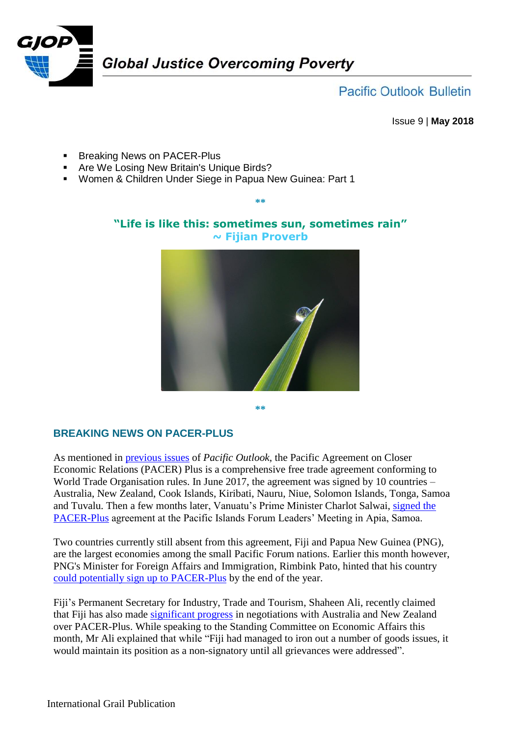

**Pacific Outlook Bulletin** 

Issue 9 | **May 2018**

- **Breaking News on PACER-Plus**
- **Are We Losing New Britain's Unique Birds?**
- Women & Children Under Siege in Papua New Guinea: Part 1

## **"Life is like this: sometimes sun, sometimes rain" ~ Fijian Proverb**

**\*\***



**\*\***

## **BREAKING NEWS ON PACER-PLUS**

As mentioned in [previous issues](http://www.grailaustralia.org.au/wp-content/uploads/2017/07/GJOP-Pacific-Outlook-Issue-4_-July-2017.pdf) of *Pacific Outlook*, the Pacific Agreement on Closer Economic Relations (PACER) Plus is a comprehensive free trade agreement conforming to World Trade Organisation rules. In June 2017, the agreement was signed by 10 countries – Australia, New Zealand, Cook Islands, Kiribati, Nauru, Niue, Solomon Islands, Tonga, Samoa and Tuvalu. Then a few months later, Vanuatu's Prime Minister Charlot Salwai, [signed the](http://www.grailaustralia.org.au/wp-content/uploads/2017/11/GJOP-Pacific-Outlook-Issue-6.pdf)  [PACER-Plus](http://www.grailaustralia.org.au/wp-content/uploads/2017/11/GJOP-Pacific-Outlook-Issue-6.pdf) agreement at the Pacific Islands Forum Leaders' Meeting in Apia, Samoa.

Two countries currently still absent from this agreement, Fiji and Papua New Guinea (PNG), are the largest economies among the small Pacific Forum nations. Earlier this month however, PNG's Minister for Foreign Affairs and Immigration, Rimbink Pato, hinted that his country [could potentially sign up to PACER-Plus](https://www.sbs.com.au/news/png-could-sign-onto-pacific-trade-pact) by the end of the year.

Fiji's Permanent Secretary for Industry, Trade and Tourism, Shaheen Ali, recently claimed that Fiji has also made [significant progress](http://fijisun.com.fj/2018/05/03/ali-some-progress-on-pacer-plus/) in negotiations with Australia and New Zealand over PACER-Plus. While speaking to the Standing Committee on Economic Affairs this month, Mr Ali explained that while "Fiji had managed to iron out a number of goods issues, it would maintain its position as a non-signatory until all grievances were addressed".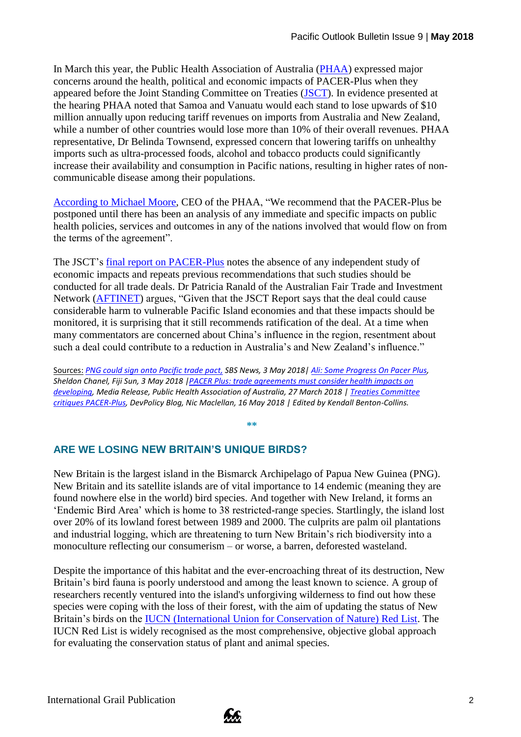In March this year, the Public Health Association of Australia [\(PHAA\)](https://www.phaa.net.au/) expressed major concerns around the health, political and economic impacts of PACER-Plus when they appeared before the Joint Standing Committee on Treaties [\(JSCT\)](https://www.aph.gov.au/jsct). In evidence presented at the hearing PHAA noted that Samoa and Vanuatu would each stand to lose upwards of \$10 million annually upon reducing tariff revenues on imports from Australia and New Zealand, while a number of other countries would lose more than 10% of their overall revenues. PHAA representative, Dr Belinda Townsend, expressed concern that lowering tariffs on unhealthy imports such as ultra-processed foods, alcohol and tobacco products could significantly increase their availability and consumption in Pacific nations, resulting in higher rates of noncommunicable disease among their populations.

[According to Michael Moore,](https://www.phaa.net.au/documents/item/2681) CEO of the PHAA, "We recommend that the PACER-Plus be postponed until there has been an analysis of any immediate and specific impacts on public health policies, services and outcomes in any of the nations involved that would flow on from the terms of the agreement".

The JSCT's [final report on PACER-Plus](https://www.aph.gov.au/Parliamentary_Business/Committees/Joint/Treaties/NuclearFuel-France/Report_179/section?id=committees%2freportjnt%2f024162%2f25858) notes the absence of any independent study of economic impacts and repeats previous recommendations that such studies should be conducted for all trade deals. Dr Patricia Ranald of the Australian Fair Trade and Investment Network [\(AFTINET\)](http://aftinet.org.au/cms/) argues, "Given that the JSCT Report says that the deal could cause considerable harm to vulnerable Pacific Island economies and that these impacts should be monitored, it is surprising that it still recommends ratification of the deal. At a time when many commentators are concerned about China's influence in the region, resentment about such a deal could contribute to a reduction in Australia's and New Zealand's influence."

Sources: *[PNG could sign onto Pacific trade pact,](https://www.sbs.com.au/news/png-could-sign-onto-pacific-trade-pact) SBS News, 3 May 2018| [Ali: Some Progress On Pacer Plus,](http://fijisun.com.fj/2018/05/03/ali-some-progress-on-pacer-plus/) Sheldon Chanel, Fiji Sun, 3 May 2018 [|PACER Plus: trade agreements must consider health impacts on](https://www.phaa.net.au/documents/item/2681)  [developing,](https://www.phaa.net.au/documents/item/2681) Media Release, Public Health Association of Australia, 27 March 2018 [| Treaties Committee](http://www.devpolicy.org/treaties-committee-critiques-pacer-plus-20180516/)  [critiques PACER-Plus,](http://www.devpolicy.org/treaties-committee-critiques-pacer-plus-20180516/) DevPolicy Blog, Nic Maclellan, 16 May 2018 | Edited by Kendall Benton-Collins.*

**\*\***

## **ARE WE LOSING NEW BRITAIN'S UNIQUE BIRDS?**

New Britain is the largest island in the Bismarck Archipelago of Papua New Guinea (PNG). New Britain and its satellite islands are of vital importance to 14 endemic (meaning they are found nowhere else in the world) bird species. And together with New Ireland, it forms an 'Endemic Bird Area' which is home to 38 restricted-range species. Startlingly, the island lost over 20% of its lowland forest between 1989 and 2000. The culprits are palm oil plantations and industrial logging, which are threatening to turn New Britain's rich biodiversity into a monoculture reflecting our consumerism – or worse, a barren, deforested wasteland.

Despite the importance of this habitat and the ever-encroaching threat of its destruction, New Britain's bird fauna is poorly understood and among the least known to science. A group of researchers recently ventured into the island's unforgiving wilderness to find out how these species were coping with the loss of their forest, with the aim of updating the status of New Britain's birds on the IUCN [\(International Union for Conservation of Nature\)](http://www.iucnredlist.org/) Red List. The IUCN Red List is widely recognised as the most comprehensive, objective global approach for evaluating the conservation status of plant and animal species.

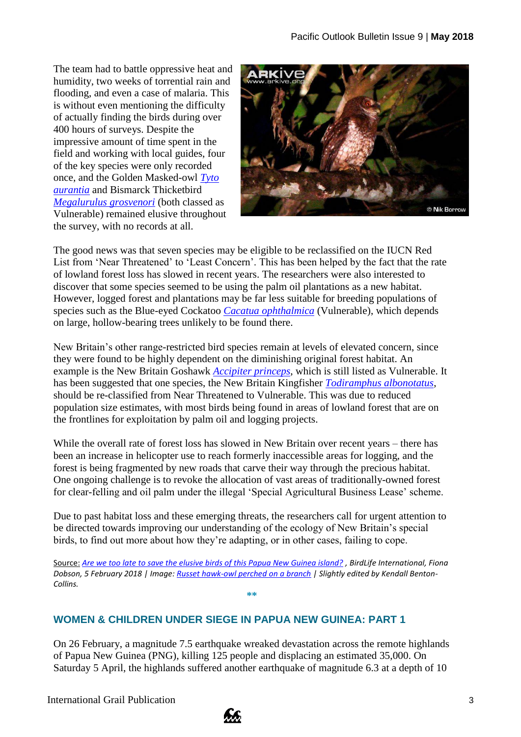The team had to battle oppressive heat and humidity, two weeks of torrential rain and flooding, and even a case of malaria. This is without even mentioning the difficulty of actually finding the birds during over 400 hours of surveys. Despite the impressive amount of time spent in the field and working with local guides, four of the key species were only recorded once, and the Golden Masked-owl *[Tyto](http://datazone.birdlife.org/species/factsheet/golden-masked-owl-tyto-aurantia)  [aurantia](http://datazone.birdlife.org/species/factsheet/golden-masked-owl-tyto-aurantia)* and Bismarck Thicketbird *[Megalurulus grosvenori](http://datazone.birdlife.org/species/factsheet/new-britain-thicketbird-megalurulus-grosvenori)* (both classed as Vulnerable) remained elusive throughout the survey, with no records at all.



The good news was that seven species may be eligible to be reclassified on the IUCN Red List from 'Near Threatened' to 'Least Concern'. This has been helped by the fact that the rate of lowland forest loss has slowed in recent years. The researchers were also interested to discover that some species seemed to be using the palm oil plantations as a new habitat. However, logged forest and plantations may be far less suitable for breeding populations of species such as the Blue-eyed Cockatoo *[Cacatua ophthalmica](http://datazone.birdlife.org/species/factsheet/blue-eyed-cockatoo-cacatua-ophthalmica)* (Vulnerable), which depends on large, hollow-bearing trees unlikely to be found there.

New Britain's other range-restricted bird species remain at levels of elevated concern, since they were found to be highly dependent on the diminishing original forest habitat. An example is the New Britain Goshawk *[Accipiter princeps](http://datazone.birdlife.org/species/factsheet/new-britain-goshawk-accipiter-princeps)*, which is still listed as Vulnerable. It has been suggested that one species, the New Britain Kingfisher *[Todiramphus albonotatus](http://datazone.birdlife.org/species/factsheet/new-britain-kingfisher-todiramphus-albonotatus)*, should be re-classified from Near Threatened to Vulnerable. This was due to reduced population size estimates, with most birds being found in areas of lowland forest that are on the frontlines for exploitation by palm oil and logging projects.

While the overall rate of forest loss has slowed in New Britain over recent years – there has been an increase in helicopter use to reach formerly inaccessible areas for logging, and the forest is being fragmented by new roads that carve their way through the precious habitat. One ongoing challenge is to revoke the allocation of vast areas of traditionally-owned forest for clear-felling and oil palm under the illegal 'Special Agricultural Business Lease' scheme.

Due to past habitat loss and these emerging threats, the researchers call for urgent attention to be directed towards improving our understanding of the ecology of New Britain's special birds, to find out more about how they're adapting, or in other cases, failing to cope.

Source: *[Are we too late to save the elusive birds of this Papua New Guinea island?](https://www.birdlife.org/worldwide/news/are-we-too-late-save-secretive-birds-papua-new-guinea-island) , BirdLife International, Fiona Dobson, 5 February 2018 | Image: [Russet hawk-owl perched on a branch](http://www.arkive.org/russet-hawk-owl/ninox-odiosa/) | Slightly edited by Kendall Benton-Collins.*

**\*\***

## **WOMEN & CHILDREN UNDER SIEGE IN PAPUA NEW GUINEA: PART 1**

On 26 February, a magnitude 7.5 earthquake wreaked devastation across the remote highlands of Papua New Guinea (PNG), killing 125 people and displacing an estimated 35,000. On Saturday 5 April, the highlands suffered another earthquake of magnitude 6.3 at a depth of 10